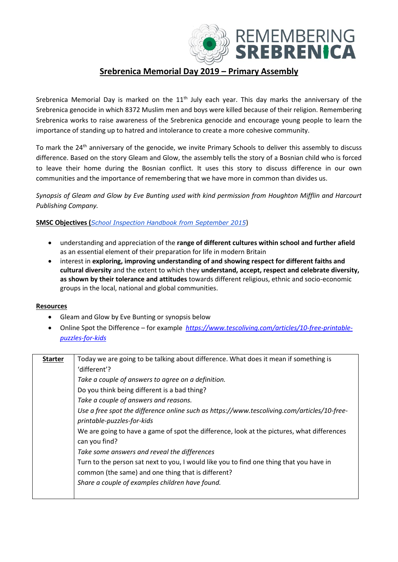

## **Srebrenica Memorial Day 2019 – Primary Assembly**

Srebrenica Memorial Day is marked on the 11<sup>th</sup> July each year. This day marks the anniversary of the Srebrenica genocide in which 8372 Muslim men and boys were killed because of their religion. Remembering Srebrenica works to raise awareness of the Srebrenica genocide and encourage young people to learn the importance of standing up to hatred and intolerance to create a more cohesive community.

To mark the 24<sup>th</sup> anniversary of the genocide, we invite Primary Schools to deliver this assembly to discuss difference. Based on the story Gleam and Glow, the assembly tells the story of a Bosnian child who is forced to leave their home during the Bosnian conflict. It uses this story to discuss difference in our own communities and the importance of remembering that we have more in common than divides us.

*Synopsis of Gleam and Glow by Eve Bunting used with kind permission from Houghton Mifflin and Harcourt Publishing Company.*

**SMSC Objectives (***[School Inspection Handbook from September 2015](https://www.gov.uk/government/publications/school-inspection-handbook-from-september-2015)*)

- understanding and appreciation of the **range of different cultures within school and further afield** as an essential element of their preparation for life in modern Britain
- interest in **exploring, improving understanding of and showing respect for different faiths and cultural diversity** and the extent to which they **understand, accept, respect and celebrate diversity, as shown by their tolerance and attitudes** towards different religious, ethnic and socio-economic groups in the local, national and global communities.

## **Resources**

- Gleam and Glow by Eve Bunting or synopsis below
- Online Spot the Difference for example *[https://www.tescoliving.com/articles/10-free-printable](https://www.tescoliving.com/articles/10-free-printable-puzzles-for-kids)[puzzles-for-kids](https://www.tescoliving.com/articles/10-free-printable-puzzles-for-kids)*

| <b>Starter</b> | Today we are going to be talking about difference. What does it mean if something is        |
|----------------|---------------------------------------------------------------------------------------------|
|                | 'different'?                                                                                |
|                | Take a couple of answers to agree on a definition.                                          |
|                | Do you think being different is a bad thing?                                                |
|                | Take a couple of answers and reasons.                                                       |
|                | Use a free spot the difference online such as https://www.tescoliving.com/articles/10-free- |
|                | printable-puzzles-for-kids                                                                  |
|                | We are going to have a game of spot the difference, look at the pictures, what differences  |
|                | can you find?                                                                               |
|                | Take some answers and reveal the differences                                                |
|                | Turn to the person sat next to you, I would like you to find one thing that you have in     |
|                | common (the same) and one thing that is different?                                          |
|                | Share a couple of examples children have found.                                             |
|                |                                                                                             |